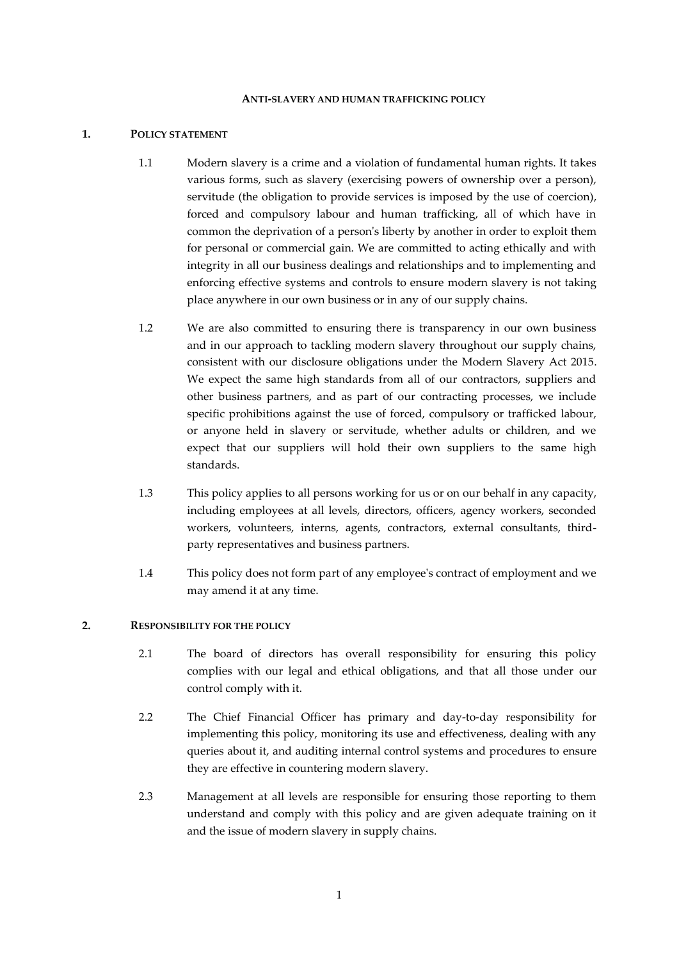#### **ANTI-SLAVERY AND HUMAN TRAFFICKING POLICY**

### **1. POLICY STATEMENT**

- 1.1 Modern slavery is a crime and a violation of fundamental human rights. It takes various forms, such as slavery (exercising powers of ownership over a person), servitude (the obligation to provide services is imposed by the use of coercion), forced and compulsory labour and human trafficking, all of which have in common the deprivation of a person's liberty by another in order to exploit them for personal or commercial gain. We are committed to acting ethically and with integrity in all our business dealings and relationships and to implementing and enforcing effective systems and controls to ensure modern slavery is not taking place anywhere in our own business or in any of our supply chains.
- 1.2 We are also committed to ensuring there is transparency in our own business and in our approach to tackling modern slavery throughout our supply chains, consistent with our disclosure obligations under the Modern Slavery Act 2015. We expect the same high standards from all of our contractors, suppliers and other business partners, and as part of our contracting processes, we include specific prohibitions against the use of forced, compulsory or trafficked labour, or anyone held in slavery or servitude, whether adults or children, and we expect that our suppliers will hold their own suppliers to the same high standards.
- 1.3 This policy applies to all persons working for us or on our behalf in any capacity, including employees at all levels, directors, officers, agency workers, seconded workers, volunteers, interns, agents, contractors, external consultants, thirdparty representatives and business partners.
- 1.4 This policy does not form part of any employee's contract of employment and we may amend it at any time.

# **2. RESPONSIBILITY FOR THE POLICY**

- 2.1 The board of directors has overall responsibility for ensuring this policy complies with our legal and ethical obligations, and that all those under our control comply with it.
- 2.2 The Chief Financial Officer has primary and day-to-day responsibility for implementing this policy, monitoring its use and effectiveness, dealing with any queries about it, and auditing internal control systems and procedures to ensure they are effective in countering modern slavery.
- 2.3 Management at all levels are responsible for ensuring those reporting to them understand and comply with this policy and are given adequate training on it and the issue of modern slavery in supply chains.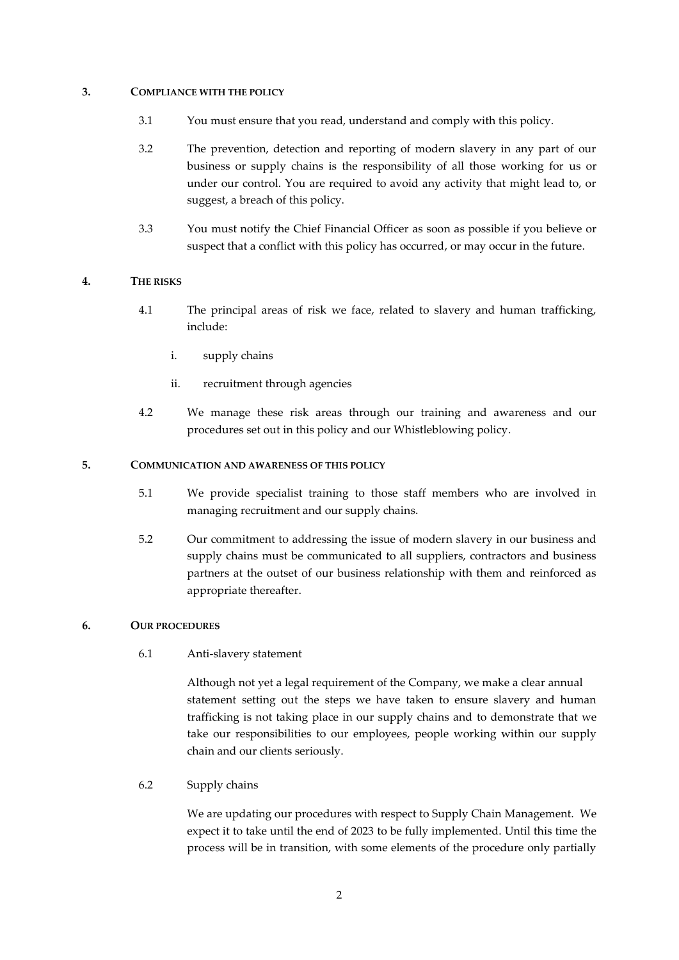## **3. COMPLIANCE WITH THE POLICY**

- 3.1 You must ensure that you read, understand and comply with this policy.
- 3.2 The prevention, detection and reporting of modern slavery in any part of our business or supply chains is the responsibility of all those working for us or under our control. You are required to avoid any activity that might lead to, or suggest, a breach of this policy.
- 3.3 You must notify the Chief Financial Officer as soon as possible if you believe or suspect that a conflict with this policy has occurred, or may occur in the future.

#### **4. THE RISKS**

- 4.1 The principal areas of risk we face, related to slavery and human trafficking, include:
	- i. supply chains
	- ii. recruitment through agencies
- 4.2 We manage these risk areas through our training and awareness and our procedures set out in this policy and our Whistleblowing policy.

#### **5. COMMUNICATION AND AWARENESS OF THIS POLICY**

- 5.1 We provide specialist training to those staff members who are involved in managing recruitment and our supply chains.
- 5.2 Our commitment to addressing the issue of modern slavery in our business and supply chains must be communicated to all suppliers, contractors and business partners at the outset of our business relationship with them and reinforced as appropriate thereafter.

#### **6. OUR PROCEDURES**

6.1 Anti-slavery statement

Although not yet a legal requirement of the Company, we make a clear annual statement setting out the steps we have taken to ensure slavery and human trafficking is not taking place in our supply chains and to demonstrate that we take our responsibilities to our employees, people working within our supply chain and our clients seriously.

6.2 Supply chains

We are updating our procedures with respect to Supply Chain Management. We expect it to take until the end of 2023 to be fully implemented. Until this time the process will be in transition, with some elements of the procedure only partially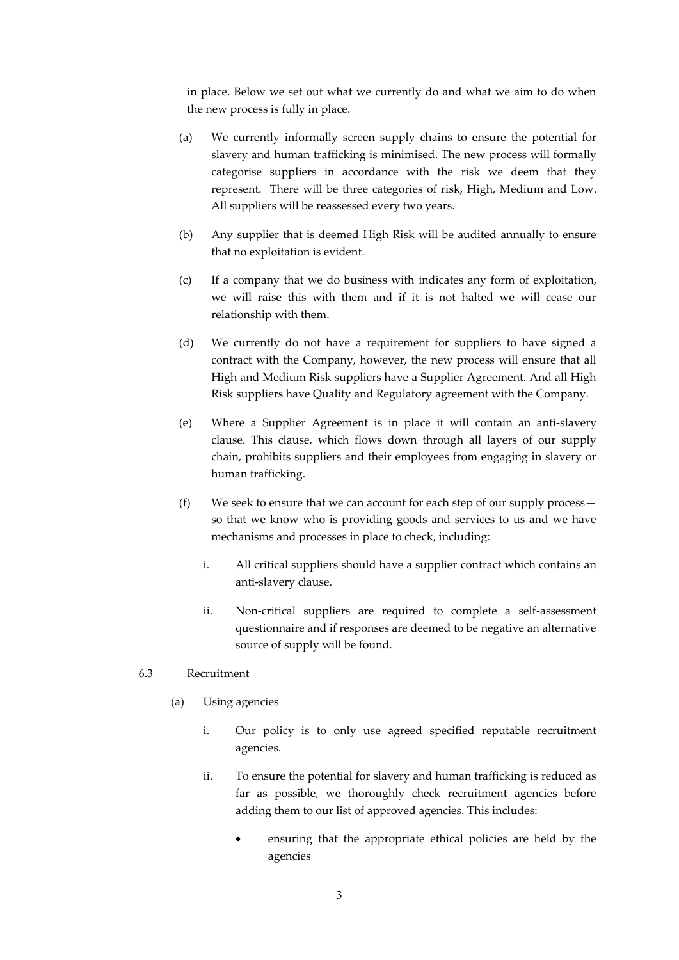in place. Below we set out what we currently do and what we aim to do when the new process is fully in place.

- (a) We currently informally screen supply chains to ensure the potential for slavery and human trafficking is minimised. The new process will formally categorise suppliers in accordance with the risk we deem that they represent. There will be three categories of risk, High, Medium and Low. All suppliers will be reassessed every two years.
- (b) Any supplier that is deemed High Risk will be audited annually to ensure that no exploitation is evident.
- (c) If a company that we do business with indicates any form of exploitation, we will raise this with them and if it is not halted we will cease our relationship with them.
- (d) We currently do not have a requirement for suppliers to have signed a contract with the Company, however, the new process will ensure that all High and Medium Risk suppliers have a Supplier Agreement. And all High Risk suppliers have Quality and Regulatory agreement with the Company.
- (e) Where a Supplier Agreement is in place it will contain an anti-slavery clause. This clause, which flows down through all layers of our supply chain, prohibits suppliers and their employees from engaging in slavery or human trafficking.
- (f) We seek to ensure that we can account for each step of our supply process so that we know who is providing goods and services to us and we have mechanisms and processes in place to check, including:
	- i. All critical suppliers should have a supplier contract which contains an anti-slavery clause.
	- ii. Non-critical suppliers are required to complete a self-assessment questionnaire and if responses are deemed to be negative an alternative source of supply will be found.

## 6.3 Recruitment

- (a) Using agencies
	- i. Our policy is to only use agreed specified reputable recruitment agencies.
	- ii. To ensure the potential for slavery and human trafficking is reduced as far as possible, we thoroughly check recruitment agencies before adding them to our list of approved agencies. This includes:
		- ensuring that the appropriate ethical policies are held by the agencies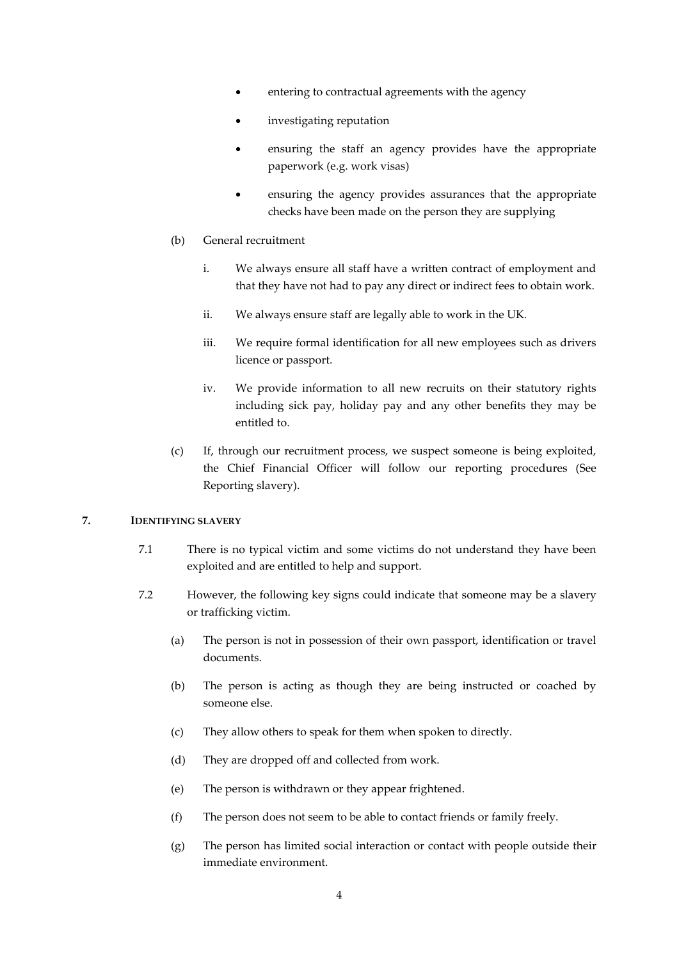- entering to contractual agreements with the agency
- investigating reputation
- ensuring the staff an agency provides have the appropriate paperwork (e.g. work visas)
- ensuring the agency provides assurances that the appropriate checks have been made on the person they are supplying
- (b) General recruitment
	- i. We always ensure all staff have a written contract of employment and that they have not had to pay any direct or indirect fees to obtain work.
	- ii. We always ensure staff are legally able to work in the UK.
	- iii. We require formal identification for all new employees such as drivers licence or passport.
	- iv. We provide information to all new recruits on their statutory rights including sick pay, holiday pay and any other benefits they may be entitled to.
- (c) If, through our recruitment process, we suspect someone is being exploited, the Chief Financial Officer will follow our reporting procedures (See Reporting slavery).

# **7. IDENTIFYING SLAVERY**

- 7.1 There is no typical victim and some victims do not understand they have been exploited and are entitled to help and support.
- 7.2 However, the following key signs could indicate that someone may be a slavery or trafficking victim.
	- (a) The person is not in possession of their own passport, identification or travel documents.
	- (b) The person is acting as though they are being instructed or coached by someone else.
	- (c) They allow others to speak for them when spoken to directly.
	- (d) They are dropped off and collected from work.
	- (e) The person is withdrawn or they appear frightened.
	- (f) The person does not seem to be able to contact friends or family freely.
	- (g) The person has limited social interaction or contact with people outside their immediate environment.